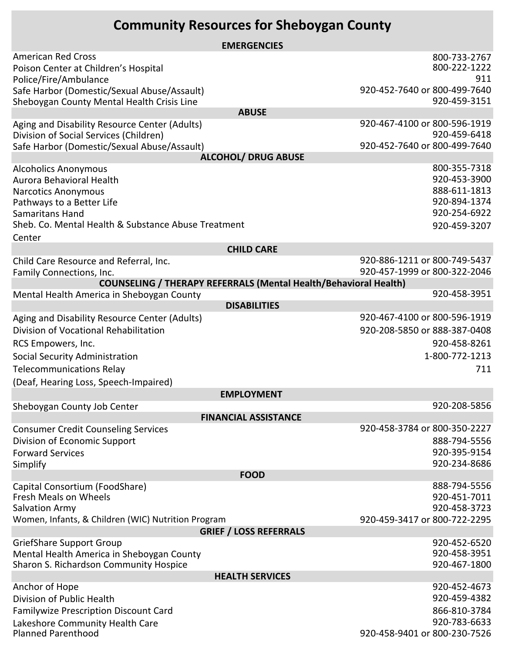## **Community Resources for Sheboygan County**

| <b>EMERGENCIES</b>                                                                      |                              |  |
|-----------------------------------------------------------------------------------------|------------------------------|--|
| <b>American Red Cross</b>                                                               | 800-733-2767                 |  |
| Poison Center at Children's Hospital                                                    | 800-222-1222                 |  |
| Police/Fire/Ambulance                                                                   | 911                          |  |
| Safe Harbor (Domestic/Sexual Abuse/Assault)                                             | 920-452-7640 or 800-499-7640 |  |
| Sheboygan County Mental Health Crisis Line<br><b>ABUSE</b>                              | 920-459-3151                 |  |
|                                                                                         | 920-467-4100 or 800-596-1919 |  |
| Aging and Disability Resource Center (Adults)<br>Division of Social Services (Children) | 920-459-6418                 |  |
| Safe Harbor (Domestic/Sexual Abuse/Assault)                                             | 920-452-7640 or 800-499-7640 |  |
| <b>ALCOHOL/ DRUG ABUSE</b>                                                              |                              |  |
| <b>Alcoholics Anonymous</b>                                                             | 800-355-7318                 |  |
| Aurora Behavioral Health                                                                | 920-453-3900                 |  |
| <b>Narcotics Anonymous</b>                                                              | 888-611-1813                 |  |
| Pathways to a Better Life                                                               | 920-894-1374                 |  |
| Samaritans Hand                                                                         | 920-254-6922                 |  |
| Sheb. Co. Mental Health & Substance Abuse Treatment                                     | 920-459-3207                 |  |
| Center                                                                                  |                              |  |
| <b>CHILD CARE</b>                                                                       | 920-886-1211 or 800-749-5437 |  |
| Child Care Resource and Referral, Inc.<br>Family Connections, Inc.                      | 920-457-1999 or 800-322-2046 |  |
| <b>COUNSELING / THERAPY REFERRALS (Mental Health/Behavioral Health)</b>                 |                              |  |
| Mental Health America in Sheboygan County                                               | 920-458-3951                 |  |
| <b>DISABILITIES</b>                                                                     |                              |  |
| Aging and Disability Resource Center (Adults)                                           | 920-467-4100 or 800-596-1919 |  |
| Division of Vocational Rehabilitation                                                   | 920-208-5850 or 888-387-0408 |  |
| RCS Empowers, Inc.                                                                      | 920-458-8261                 |  |
| Social Security Administration                                                          | 1-800-772-1213               |  |
| <b>Telecommunications Relay</b>                                                         | 711                          |  |
| (Deaf, Hearing Loss, Speech-Impaired)                                                   |                              |  |
| <b>EMPLOYMENT</b>                                                                       |                              |  |
| Sheboygan County Job Center                                                             | 920-208-5856                 |  |
| <b>FINANCIAL ASSISTANCE</b>                                                             |                              |  |
| <b>Consumer Credit Counseling Services</b>                                              | 920-458-3784 or 800-350-2227 |  |
| Division of Economic Support                                                            | 888-794-5556                 |  |
| <b>Forward Services</b>                                                                 | 920-395-9154                 |  |
| Simplify                                                                                | 920-234-8686                 |  |
| <b>FOOD</b>                                                                             |                              |  |
| Capital Consortium (FoodShare)                                                          | 888-794-5556                 |  |
| <b>Fresh Meals on Wheels</b>                                                            | 920-451-7011<br>920-458-3723 |  |
| <b>Salvation Army</b><br>Women, Infants, & Children (WIC) Nutrition Program             | 920-459-3417 or 800-722-2295 |  |
| <b>GRIEF / LOSS REFERRALS</b>                                                           |                              |  |
| <b>GriefShare Support Group</b>                                                         | 920-452-6520                 |  |
| Mental Health America in Sheboygan County                                               | 920-458-3951                 |  |
| Sharon S. Richardson Community Hospice                                                  | 920-467-1800                 |  |
| <b>HEALTH SERVICES</b>                                                                  |                              |  |
| Anchor of Hope                                                                          | 920-452-4673                 |  |
| Division of Public Health                                                               | 920-459-4382                 |  |
| <b>Familywize Prescription Discount Card</b>                                            | 866-810-3784                 |  |
| Lakeshore Community Health Care                                                         | 920-783-6633                 |  |
| <b>Planned Parenthood</b>                                                               | 920-458-9401 or 800-230-7526 |  |